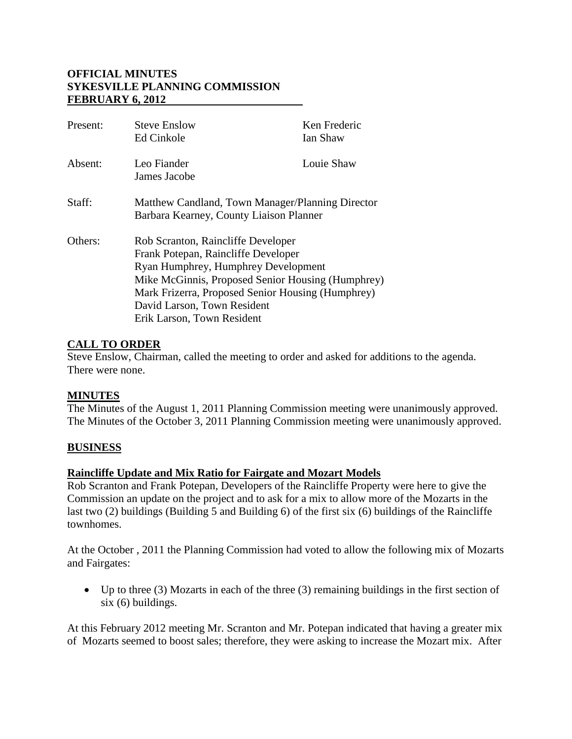# **OFFICIAL MINUTES SYKESVILLE PLANNING COMMISSION FEBRUARY 6, 2012**

| Present: | <b>Steve Enslow</b><br>Ed Cinkole                                                                                                                                                                                                                                                       | Ken Frederic<br>Ian Shaw |
|----------|-----------------------------------------------------------------------------------------------------------------------------------------------------------------------------------------------------------------------------------------------------------------------------------------|--------------------------|
| Absent:  | Leo Fiander<br>James Jacobe                                                                                                                                                                                                                                                             | Louie Shaw               |
| Staff:   | Matthew Candland, Town Manager/Planning Director<br>Barbara Kearney, County Liaison Planner                                                                                                                                                                                             |                          |
| Others:  | Rob Scranton, Raincliffe Developer<br>Frank Potepan, Raincliffe Developer<br>Ryan Humphrey, Humphrey Development<br>Mike McGinnis, Proposed Senior Housing (Humphrey)<br>Mark Frizerra, Proposed Senior Housing (Humphrey)<br>David Larson, Town Resident<br>Erik Larson, Town Resident |                          |

# **CALL TO ORDER**

Steve Enslow, Chairman, called the meeting to order and asked for additions to the agenda. There were none.

# **MINUTES**

The Minutes of the August 1, 2011 Planning Commission meeting were unanimously approved. The Minutes of the October 3, 2011 Planning Commission meeting were unanimously approved.

# **BUSINESS**

# **Raincliffe Update and Mix Ratio for Fairgate and Mozart Models**

Rob Scranton and Frank Potepan, Developers of the Raincliffe Property were here to give the Commission an update on the project and to ask for a mix to allow more of the Mozarts in the last two (2) buildings (Building 5 and Building 6) of the first six (6) buildings of the Raincliffe townhomes.

At the October , 2011 the Planning Commission had voted to allow the following mix of Mozarts and Fairgates:

 Up to three (3) Mozarts in each of the three (3) remaining buildings in the first section of six (6) buildings.

At this February 2012 meeting Mr. Scranton and Mr. Potepan indicated that having a greater mix of Mozarts seemed to boost sales; therefore, they were asking to increase the Mozart mix. After